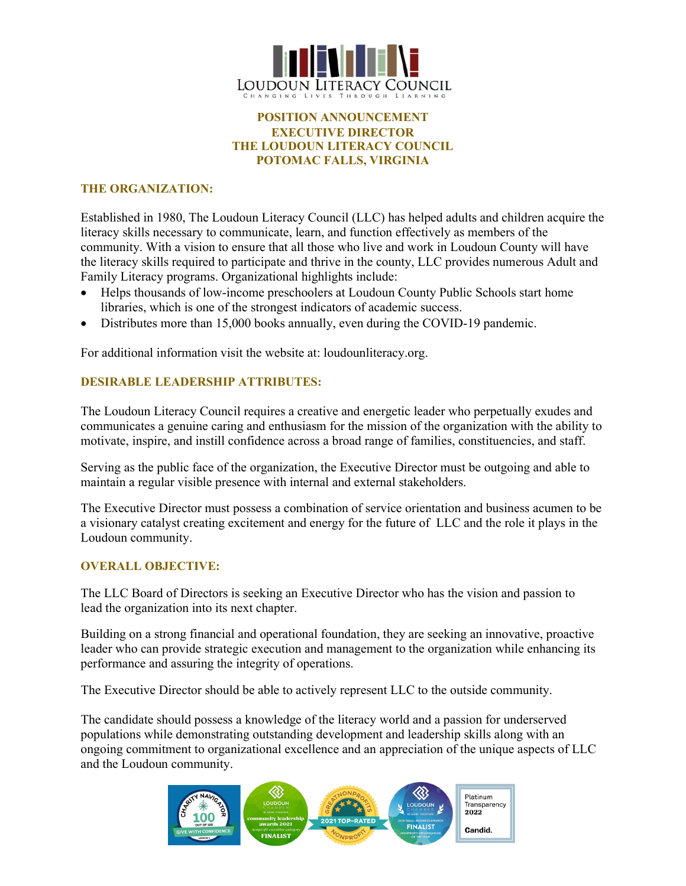

# **POSITION ANNOUNCEMENT EXECUTIVE DIRECTOR THE LOUDOUN LITERACY COUNCIL POTOMAC FALLS, VIRGINIA**

# **THE ORGANIZATION:**

Established in 1980, The Loudoun Literacy Council (LLC) has helped adults and children acquire the literacy skills necessary to communicate, learn, and function effectively as members of the community. With a vision to ensure that all those who live and work in Loudoun County will have the literacy skills required to participate and thrive in the county, LLC provides numerous Adult and Family Literacy programs. Organizational highlights include:

- Helps thousands of low-income preschoolers at Loudoun County Public Schools start home libraries, which is one of the strongest indicators of academic success.
- Distributes more than 15,000 books annually, even during the COVID-19 pandemic.

For additional information visit the website at: loudounliteracy.org.

# **DESIRABLE LEADERSHIP ATTRIBUTES:**

The Loudoun Literacy Council requires a creative and energetic leader who perpetually exudes and communicates a genuine caring and enthusiasm for the mission of the organization with the ability to motivate, inspire, and instill confidence across a broad range of families, constituencies, and staff.

Serving as the public face of the organization, the Executive Director must be outgoing and able to maintain a regular visible presence with internal and external stakeholders.

The Executive Director must possess a combination of service orientation and business acumen to be a visionary catalyst creating excitement and energy for the future of LLC and the role it plays in the Loudoun community.

### **OVERALL OBJECTIVE:**

The LLC Board of Directors is seeking an Executive Director who has the vision and passion to lead the organization into its next chapter.

Building on a strong financial and operational foundation, they are seeking an innovative, proactive leader who can provide strategic execution and management to the organization while enhancing its performance and assuring the integrity of operations.

The Executive Director should be able to actively represent LLC to the outside community.

The candidate should possess a knowledge of the literacy world and a passion for underserved populations while demonstrating outstanding development and leadership skills along with an ongoing commitment to organizational excellence and an appreciation of the unique aspects of LLC and the Loudoun community.

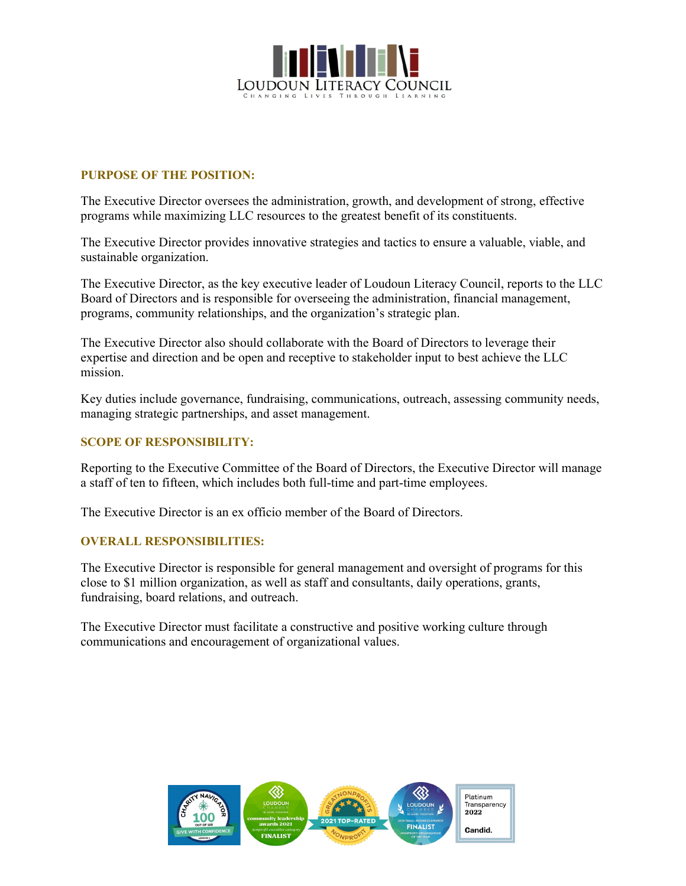

# **PURPOSE OF THE POSITION:**

The Executive Director oversees the administration, growth, and development of strong, effective programs while maximizing LLC resources to the greatest benefit of its constituents.

The Executive Director provides innovative strategies and tactics to ensure a valuable, viable, and sustainable organization.

The Executive Director, as the key executive leader of Loudoun Literacy Council, reports to the LLC Board of Directors and is responsible for overseeing the administration, financial management, programs, community relationships, and the organization's strategic plan.

The Executive Director also should collaborate with the Board of Directors to leverage their expertise and direction and be open and receptive to stakeholder input to best achieve the LLC mission.

Key duties include governance, fundraising, communications, outreach, assessing community needs, managing strategic partnerships, and asset management.

## **SCOPE OF RESPONSIBILITY:**

Reporting to the Executive Committee of the Board of Directors, the Executive Director will manage a staff of ten to fifteen, which includes both full-time and part-time employees.

The Executive Director is an ex officio member of the Board of Directors.

### **OVERALL RESPONSIBILITIES:**

The Executive Director is responsible for general management and oversight of programs for this close to \$1 million organization, as well as staff and consultants, daily operations, grants, fundraising, board relations, and outreach.

The Executive Director must facilitate a constructive and positive working culture through communications and encouragement of organizational values.